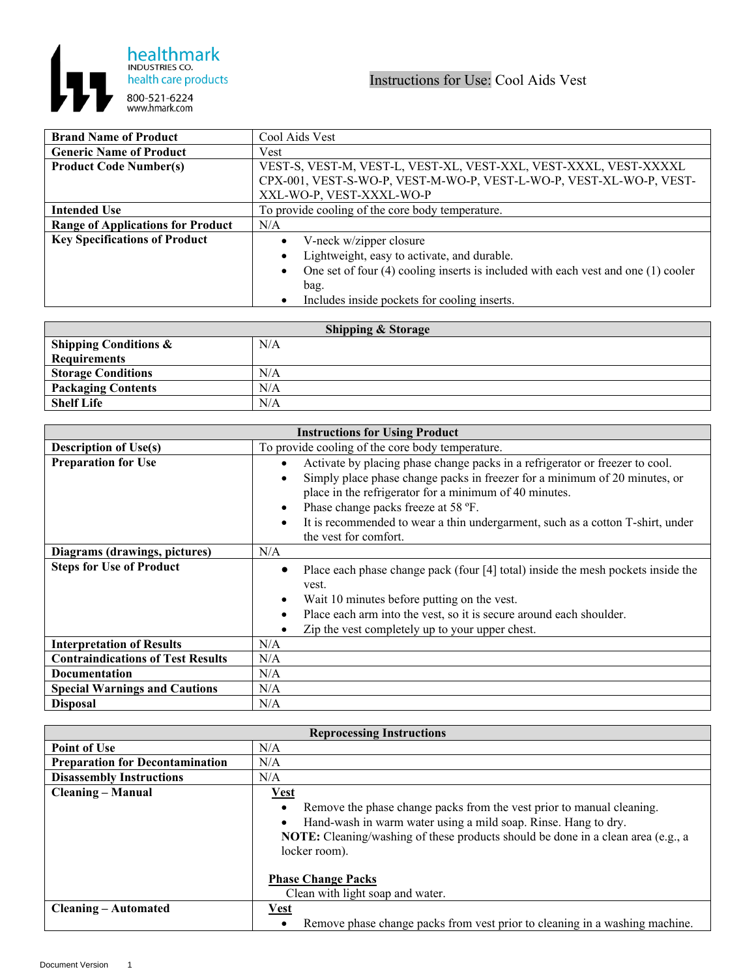

| <b>Brand Name of Product</b>             | Cool Aids Vest                                                                    |
|------------------------------------------|-----------------------------------------------------------------------------------|
| <b>Generic Name of Product</b>           | Vest                                                                              |
| <b>Product Code Number(s)</b>            | VEST-S, VEST-M, VEST-L, VEST-XL, VEST-XXL, VEST-XXXL, VEST-XXXXL                  |
|                                          | CPX-001, VEST-S-WO-P, VEST-M-WO-P, VEST-L-WO-P, VEST-XL-WO-P, VEST-               |
|                                          | XXL-WO-P, VEST-XXXL-WO-P                                                          |
| <b>Intended Use</b>                      | To provide cooling of the core body temperature.                                  |
| <b>Range of Applications for Product</b> | N/A                                                                               |
| <b>Key Specifications of Product</b>     | V-neck w/zipper closure                                                           |
|                                          | Lightweight, easy to activate, and durable.                                       |
|                                          | One set of four (4) cooling inserts is included with each vest and one (1) cooler |
|                                          | bag.                                                                              |
|                                          | Includes inside pockets for cooling inserts.                                      |

| <b>Shipping &amp; Storage</b>    |     |  |
|----------------------------------|-----|--|
| <b>Shipping Conditions &amp;</b> | N/A |  |
| <b>Requirements</b>              |     |  |
| <b>Storage Conditions</b>        | N/A |  |
| <b>Packaging Contents</b>        | N/A |  |
| <b>Shelf Life</b>                | N/A |  |

| <b>Instructions for Using Product</b>    |                                                                                                                                                                                                                                                                                                                                                                                     |
|------------------------------------------|-------------------------------------------------------------------------------------------------------------------------------------------------------------------------------------------------------------------------------------------------------------------------------------------------------------------------------------------------------------------------------------|
| <b>Description of Use(s)</b>             | To provide cooling of the core body temperature.                                                                                                                                                                                                                                                                                                                                    |
| <b>Preparation for Use</b>               | Activate by placing phase change packs in a refrigerator or freezer to cool.<br>Simply place phase change packs in freezer for a minimum of 20 minutes, or<br>place in the refrigerator for a minimum of 40 minutes.<br>Phase change packs freeze at 58 °F.<br>It is recommended to wear a thin undergarment, such as a cotton T-shirt, under<br>$\bullet$<br>the vest for comfort. |
| Diagrams (drawings, pictures)            | N/A                                                                                                                                                                                                                                                                                                                                                                                 |
| <b>Steps for Use of Product</b>          | Place each phase change pack (four [4] total) inside the mesh pockets inside the<br>vest.<br>Wait 10 minutes before putting on the vest.<br>$\bullet$<br>Place each arm into the vest, so it is secure around each shoulder.<br>$\bullet$<br>Zip the vest completely up to your upper chest.                                                                                        |
| <b>Interpretation of Results</b>         | N/A                                                                                                                                                                                                                                                                                                                                                                                 |
| <b>Contraindications of Test Results</b> | N/A                                                                                                                                                                                                                                                                                                                                                                                 |
| Documentation                            | N/A                                                                                                                                                                                                                                                                                                                                                                                 |
| <b>Special Warnings and Cautions</b>     | N/A                                                                                                                                                                                                                                                                                                                                                                                 |
| <b>Disposal</b>                          | N/A                                                                                                                                                                                                                                                                                                                                                                                 |

| <b>Reprocessing Instructions</b>       |                                                                                                                                                                                                                                                                                                               |
|----------------------------------------|---------------------------------------------------------------------------------------------------------------------------------------------------------------------------------------------------------------------------------------------------------------------------------------------------------------|
| <b>Point of Use</b>                    | N/A                                                                                                                                                                                                                                                                                                           |
| <b>Preparation for Decontamination</b> | N/A                                                                                                                                                                                                                                                                                                           |
| <b>Disassembly Instructions</b>        | N/A                                                                                                                                                                                                                                                                                                           |
| <b>Cleaning – Manual</b>               | Vest                                                                                                                                                                                                                                                                                                          |
|                                        | Remove the phase change packs from the vest prior to manual cleaning.<br>Hand-wash in warm water using a mild soap. Rinse. Hang to dry.<br>NOTE: Cleaning/washing of these products should be done in a clean area (e.g., a<br>locker room).<br><b>Phase Change Packs</b><br>Clean with light soap and water. |
| <b>Cleaning – Automated</b>            | <b>Vest</b>                                                                                                                                                                                                                                                                                                   |
|                                        | Remove phase change packs from vest prior to cleaning in a washing machine.                                                                                                                                                                                                                                   |